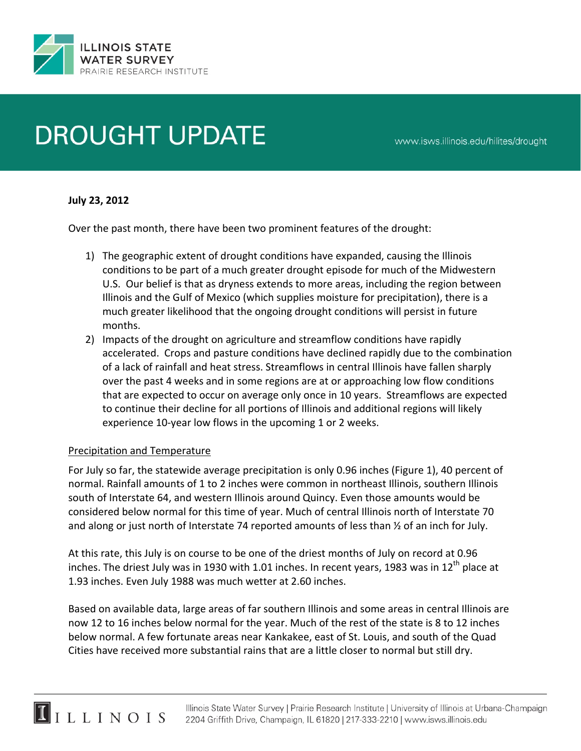

# **DROUGHT UPDATE**

www.isws.illinois.edu/hilites/drought

#### **July 23, 2012**

Over the past month, there have been two prominent features of the drought:

- 1) The geographic extent of drought conditions have expanded, causing the Illinois conditions to be part of a much greater drought episode for much of the Midwestern U.S. Our belief is that as dryness extends to more areas, including the region between Illinois and the Gulf of Mexico (which supplies moisture for precipitation), there is a much greater likelihood that the ongoing drought conditions will persist in future months.
- 2) Impacts of the drought on agriculture and streamflow conditions have rapidly accelerated. Crops and pasture conditions have declined rapidly due to the combination of a lack of rainfall and heat stress. Streamflows in central Illinois have fallen sharply over the past 4 weeks and in some regions are at or approaching low flow conditions that are expected to occur on average only once in 10 years. Streamflows are expected to continue their decline for all portions of Illinois and additional regions will likely experience 10‐year low flows in the upcoming 1 or 2 weeks.

#### Precipitation and Temperature

 $\blacksquare$ ILLINOIS

For July so far, the statewide average precipitation is only 0.96 inches (Figure 1), 40 percent of normal. Rainfall amounts of 1 to 2 inches were common in northeast Illinois, southern Illinois south of Interstate 64, and western Illinois around Quincy. Even those amounts would be considered below normal for this time of year. Much of central Illinois north of Interstate 70 and along or just north of Interstate 74 reported amounts of less than ½ of an inch for July.

At this rate, this July is on course to be one of the driest months of July on record at 0.96 inches. The driest July was in 1930 with 1.01 inches. In recent years, 1983 was in 12<sup>th</sup> place at 1.93 inches. Even July 1988 was much wetter at 2.60 inches.

Based on available data, large areas of far southern Illinois and some areas in central Illinois are now 12 to 16 inches below normal for the year. Much of the rest of the state is 8 to 12 inches below normal. A few fortunate areas near Kankakee, east of St. Louis, and south of the Quad Cities have received more substantial rains that are a little closer to normal but still dry.

> Illinois State Water Survey | Prairie Research Institute | University of Illinois at Urbana-Champaign 2204 Griffith Drive, Champaign, IL 61820 | 217-333-2210 | www.isws.illinois.edu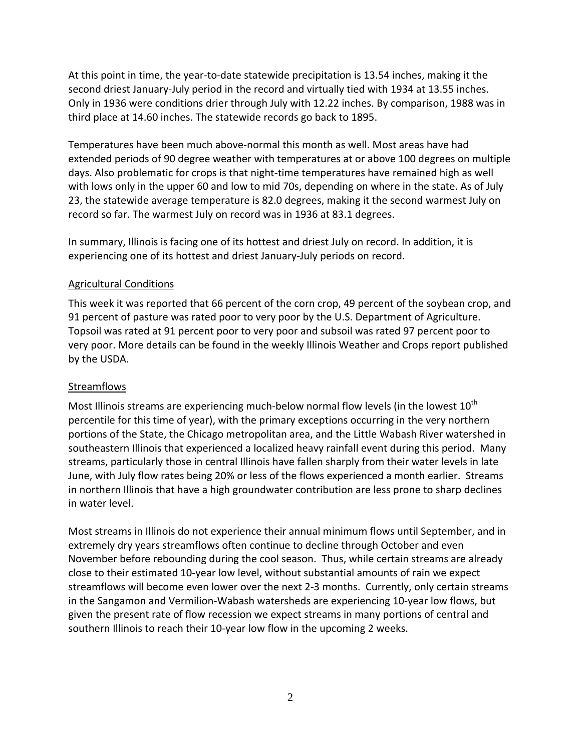At this point in time, the year-to-date statewide precipitation is 13.54 inches, making it the second driest January‐July period in the record and virtually tied with 1934 at 13.55 inches. Only in 1936 were conditions drier through July with 12.22 inches. By comparison, 1988 was in third place at 14.60 inches. The statewide records go back to 1895.

Temperatures have been much above‐normal this month as well. Most areas have had extended periods of 90 degree weather with temperatures at or above 100 degrees on multiple days. Also problematic for crops is that night‐time temperatures have remained high as well with lows only in the upper 60 and low to mid 70s, depending on where in the state. As of July 23, the statewide average temperature is 82.0 degrees, making it the second warmest July on record so far. The warmest July on record was in 1936 at 83.1 degrees.

In summary, Illinois is facing one of its hottest and driest July on record. In addition, it is experiencing one of its hottest and driest January‐July periods on record.

## Agricultural Conditions

This week it was reported that 66 percent of the corn crop, 49 percent of the soybean crop, and 91 percent of pasture was rated poor to very poor by the U.S. Department of Agriculture. Topsoil was rated at 91 percent poor to very poor and subsoil was rated 97 percent poor to very poor. More details can be found in the weekly Illinois Weather and Crops report published by the USDA.

## **Streamflows**

Most Illinois streams are experiencing much-below normal flow levels (in the lowest  $10^{th}$ ) percentile for this time of year), with the primary exceptions occurring in the very northern portions of the State, the Chicago metropolitan area, and the Little Wabash River watershed in southeastern Illinois that experienced a localized heavy rainfall event during this period. Many streams, particularly those in central Illinois have fallen sharply from their water levels in late June, with July flow rates being 20% or less of the flows experienced a month earlier. Streams in northern Illinois that have a high groundwater contribution are less prone to sharp declines in water level.

Most streams in Illinois do not experience their annual minimum flows until September, and in extremely dry years streamflows often continue to decline through October and even November before rebounding during the cool season. Thus, while certain streams are already close to their estimated 10‐year low level, without substantial amounts of rain we expect streamflows will become even lower over the next 2‐3 months. Currently, only certain streams in the Sangamon and Vermilion‐Wabash watersheds are experiencing 10‐year low flows, but given the present rate of flow recession we expect streams in many portions of central and southern Illinois to reach their 10‐year low flow in the upcoming 2 weeks.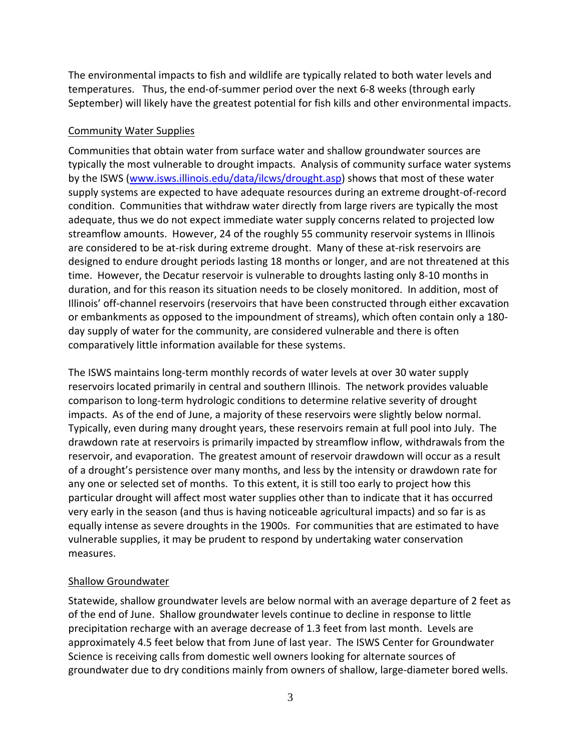The environmental impacts to fish and wildlife are typically related to both water levels and temperatures. Thus, the end‐of‐summer period over the next 6‐8 weeks (through early September) will likely have the greatest potential for fish kills and other environmental impacts.

#### Community Water Supplies

Communities that obtain water from surface water and shallow groundwater sources are typically the most vulnerable to drought impacts. Analysis of community surface water systems by the ISWS (www.isws.illinois.edu/data/ilcws/drought.asp) shows that most of these water supply systems are expected to have adequate resources during an extreme drought‐of‐record condition. Communities that withdraw water directly from large rivers are typically the most adequate, thus we do not expect immediate water supply concerns related to projected low streamflow amounts. However, 24 of the roughly 55 community reservoir systems in Illinois are considered to be at-risk during extreme drought. Many of these at-risk reservoirs are designed to endure drought periods lasting 18 months or longer, and are not threatened at this time. However, the Decatur reservoir is vulnerable to droughts lasting only 8‐10 months in duration, and for this reason its situation needs to be closely monitored. In addition, most of Illinois' off‐channel reservoirs (reservoirs that have been constructed through either excavation or embankments as opposed to the impoundment of streams), which often contain only a 180‐ day supply of water for the community, are considered vulnerable and there is often comparatively little information available for these systems.

The ISWS maintains long‐term monthly records of water levels at over 30 water supply reservoirs located primarily in central and southern Illinois. The network provides valuable comparison to long‐term hydrologic conditions to determine relative severity of drought impacts. As of the end of June, a majority of these reservoirs were slightly below normal. Typically, even during many drought years, these reservoirs remain at full pool into July. The drawdown rate at reservoirs is primarily impacted by streamflow inflow, withdrawals from the reservoir, and evaporation. The greatest amount of reservoir drawdown will occur as a result of a drought's persistence over many months, and less by the intensity or drawdown rate for any one or selected set of months. To this extent, it is still too early to project how this particular drought will affect most water supplies other than to indicate that it has occurred very early in the season (and thus is having noticeable agricultural impacts) and so far is as equally intense as severe droughts in the 1900s. For communities that are estimated to have vulnerable supplies, it may be prudent to respond by undertaking water conservation measures.

## Shallow Groundwater

Statewide, shallow groundwater levels are below normal with an average departure of 2 feet as of the end of June. Shallow groundwater levels continue to decline in response to little precipitation recharge with an average decrease of 1.3 feet from last month. Levels are approximately 4.5 feet below that from June of last year. The ISWS Center for Groundwater Science is receiving calls from domestic well owners looking for alternate sources of groundwater due to dry conditions mainly from owners of shallow, large-diameter bored wells.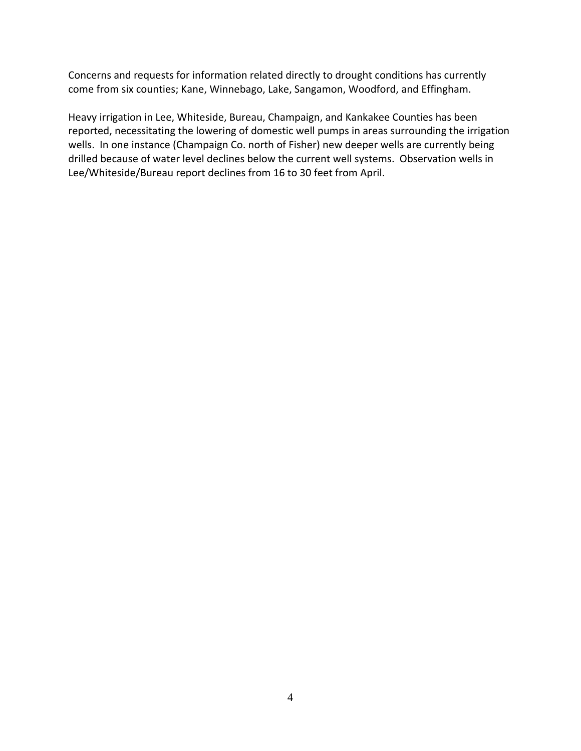Concerns and requests for information related directly to drought conditions has currently come from six counties; Kane, Winnebago, Lake, Sangamon, Woodford, and Effingham.

Heavy irrigation in Lee, Whiteside, Bureau, Champaign, and Kankakee Counties has been reported, necessitating the lowering of domestic well pumps in areas surrounding the irrigation wells. In one instance (Champaign Co. north of Fisher) new deeper wells are currently being drilled because of water level declines below the current well systems. Observation wells in Lee/Whiteside/Bureau report declines from 16 to 30 feet from April.